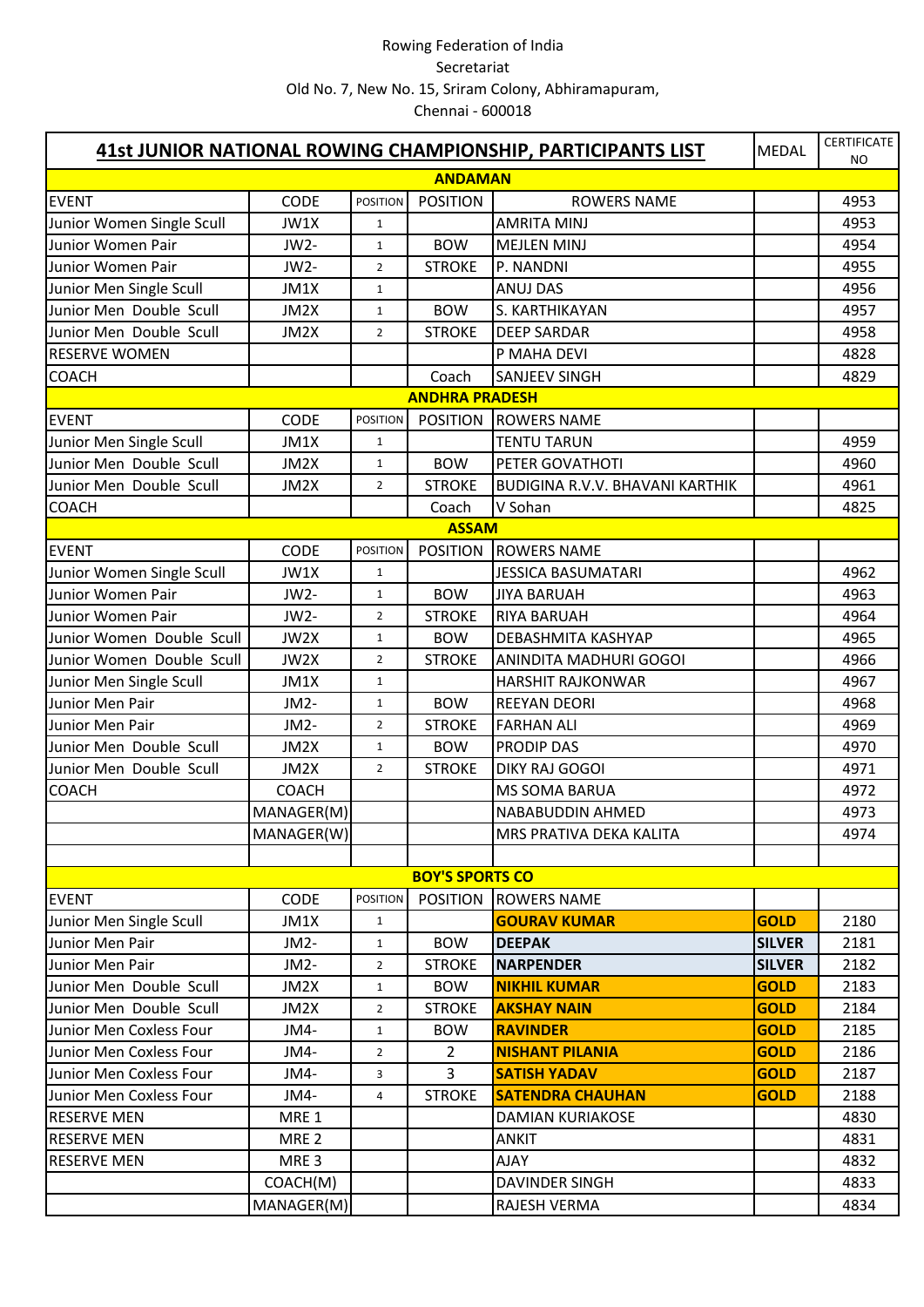| 41st JUNIOR NATIONAL ROWING CHAMPIONSHIP, PARTICIPANTS LIST<br><b>MEDAL</b> |                  |                 |                        |                                        |               | <b>CERTIFICATE</b><br>NO. |
|-----------------------------------------------------------------------------|------------------|-----------------|------------------------|----------------------------------------|---------------|---------------------------|
|                                                                             |                  |                 | <b>ANDAMAN</b>         |                                        |               |                           |
| <b>EVENT</b>                                                                | CODE             | <b>POSITION</b> | <b>POSITION</b>        | <b>ROWERS NAME</b>                     |               | 4953                      |
| Junior Women Single Scull                                                   | JW1X             | $\mathbf{1}$    |                        | <b>AMRITA MINJ</b>                     |               | 4953                      |
| Junior Women Pair                                                           | JW2-             | $\mathbf{1}$    | <b>BOW</b>             | <b>MEJLEN MINJ</b>                     |               | 4954                      |
| Junior Women Pair                                                           | JW2-             | $\overline{2}$  | <b>STROKE</b>          | P. NANDNI                              |               | 4955                      |
| Junior Men Single Scull                                                     | JM1X             | $\mathbf{1}$    |                        | <b>ANUJ DAS</b>                        |               | 4956                      |
| Junior Men Double Scull                                                     | JM2X             | $\mathbf{1}$    | <b>BOW</b>             | S. KARTHIKAYAN                         |               | 4957                      |
| Junior Men Double Scull                                                     | JM2X             | $\overline{2}$  | <b>STROKE</b>          | <b>DEEP SARDAR</b>                     |               | 4958                      |
| <b>RESERVE WOMEN</b>                                                        |                  |                 |                        | P MAHA DEVI                            |               | 4828                      |
| <b>COACH</b>                                                                |                  |                 | Coach                  | <b>SANJEEV SINGH</b>                   |               | 4829                      |
|                                                                             |                  |                 | <b>ANDHRA PRADESH</b>  |                                        |               |                           |
| <b>EVENT</b>                                                                | <b>CODE</b>      | <b>POSITION</b> |                        | POSITION ROWERS NAME                   |               |                           |
| Junior Men Single Scull                                                     | JM1X             | $\mathbf{1}$    |                        | <b>TENTU TARUN</b>                     |               | 4959                      |
| Junior Men Double Scull                                                     | JM2X             | $\mathbf{1}$    | <b>BOW</b>             | PETER GOVATHOTI                        |               | 4960                      |
| Junior Men Double Scull                                                     | JM2X             | $\overline{2}$  | <b>STROKE</b>          | <b>BUDIGINA R.V.V. BHAVANI KARTHIK</b> |               | 4961                      |
| <b>COACH</b>                                                                |                  |                 | Coach                  | V Sohan                                |               | 4825                      |
|                                                                             |                  |                 | <b>ASSAM</b>           |                                        |               |                           |
| <b>EVENT</b>                                                                | <b>CODE</b>      | <b>POSITION</b> | <b>POSITION</b>        | <b>ROWERS NAME</b>                     |               |                           |
| Junior Women Single Scull                                                   | JW1X             | $\mathbf{1}$    |                        | <b>JESSICA BASUMATARI</b>              |               | 4962                      |
| Junior Women Pair                                                           | JW2-             | $\mathbf{1}$    | <b>BOW</b>             | <b>JIYA BARUAH</b>                     |               | 4963                      |
| Junior Women Pair                                                           | JW2-             | $\overline{2}$  | <b>STROKE</b>          | <b>RIYA BARUAH</b>                     |               | 4964                      |
| Junior Women Double Scull                                                   | JW2X             | $\mathbf{1}$    | <b>BOW</b>             | <b>DEBASHMITA KASHYAP</b>              |               | 4965                      |
| Junior Women Double Scull                                                   | JW2X             | $\overline{2}$  | <b>STROKE</b>          | ANINDITA MADHURI GOGOI                 |               | 4966                      |
| Junior Men Single Scull                                                     | JM1X             | $\mathbf{1}$    |                        | <b>HARSHIT RAJKONWAR</b>               |               | 4967                      |
| Junior Men Pair                                                             | JM2-             | $\mathbf{1}$    | <b>BOW</b>             | <b>REEYAN DEORI</b>                    |               | 4968                      |
| Junior Men Pair                                                             | JM2-             | $\overline{2}$  | <b>STROKE</b>          | <b>FARHAN ALI</b>                      |               | 4969                      |
| Junior Men Double Scull                                                     | JM2X             | $\mathbf{1}$    | <b>BOW</b>             | <b>PRODIP DAS</b>                      |               | 4970                      |
| Junior Men Double Scull                                                     | JM2X             | $\overline{2}$  | <b>STROKE</b>          | <b>DIKY RAJ GOGOI</b>                  |               | 4971                      |
| <b>COACH</b>                                                                | <b>COACH</b>     |                 |                        | <b>MS SOMA BARUA</b>                   |               | 4972                      |
|                                                                             | MANAGER(M)       |                 |                        | NABABUDDIN AHMED                       |               | 4973                      |
|                                                                             | MANAGER(W)       |                 |                        | MRS PRATIVA DEKA KALITA                |               | 4974                      |
|                                                                             |                  |                 |                        |                                        |               |                           |
|                                                                             |                  |                 | <b>BOY'S SPORTS CO</b> |                                        |               |                           |
| <b>EVENT</b>                                                                | <b>CODE</b>      | <b>POSITION</b> | <b>POSITION</b>        | <b>ROWERS NAME</b>                     |               |                           |
| Junior Men Single Scull                                                     | JM1X             | $\mathbf{1}$    |                        | <b>GOURAV KUMAR</b>                    | <b>GOLD</b>   | 2180                      |
| Junior Men Pair                                                             | JM2-             | $\mathbf{1}$    | <b>BOW</b>             | <b>DEEPAK</b>                          | <b>SILVER</b> | 2181                      |
| Junior Men Pair                                                             | JM2-             | $\overline{2}$  | <b>STROKE</b>          | <b>NARPENDER</b>                       | <b>SILVER</b> | 2182                      |
| Junior Men Double Scull                                                     | JM2X             | $\mathbf{1}$    | <b>BOW</b>             | <b>NIKHIL KUMAR</b>                    | <b>GOLD</b>   | 2183                      |
| Junior Men Double Scull                                                     | JM2X             | $\overline{2}$  | <b>STROKE</b>          | <b>AKSHAY NAIN</b>                     | <b>GOLD</b>   | 2184                      |
| Junior Men Coxless Four                                                     | JM4-             | $\mathbf{1}$    | <b>BOW</b>             | <b>RAVINDER</b>                        | <b>GOLD</b>   | 2185                      |
| Junior Men Coxless Four                                                     | JM4-             | $\overline{2}$  | $\overline{2}$         | <b>NISHANT PILANIA</b>                 | <b>GOLD</b>   | 2186                      |
| Junior Men Coxless Four                                                     | JM4-             | 3               | 3                      | <b>SATISH YADAV</b>                    | <b>GOLD</b>   | 2187                      |
| Junior Men Coxless Four                                                     | JM4-             | 4               | <b>STROKE</b>          | <b>SATENDRA CHAUHAN</b>                | <b>GOLD</b>   | 2188                      |
| <b>RESERVE MEN</b>                                                          | MRE <sub>1</sub> |                 |                        | <b>DAMIAN KURIAKOSE</b>                |               | 4830                      |
| <b>RESERVE MEN</b>                                                          | MRE <sub>2</sub> |                 |                        | <b>ANKIT</b>                           |               | 4831                      |
| <b>RESERVE MEN</b>                                                          | MRE <sub>3</sub> |                 |                        | <b>AJAY</b>                            |               | 4832                      |
|                                                                             | COACH(M)         |                 |                        | DAVINDER SINGH                         |               | 4833                      |
|                                                                             | MANAGER(M)       |                 |                        | RAJESH VERMA                           |               | 4834                      |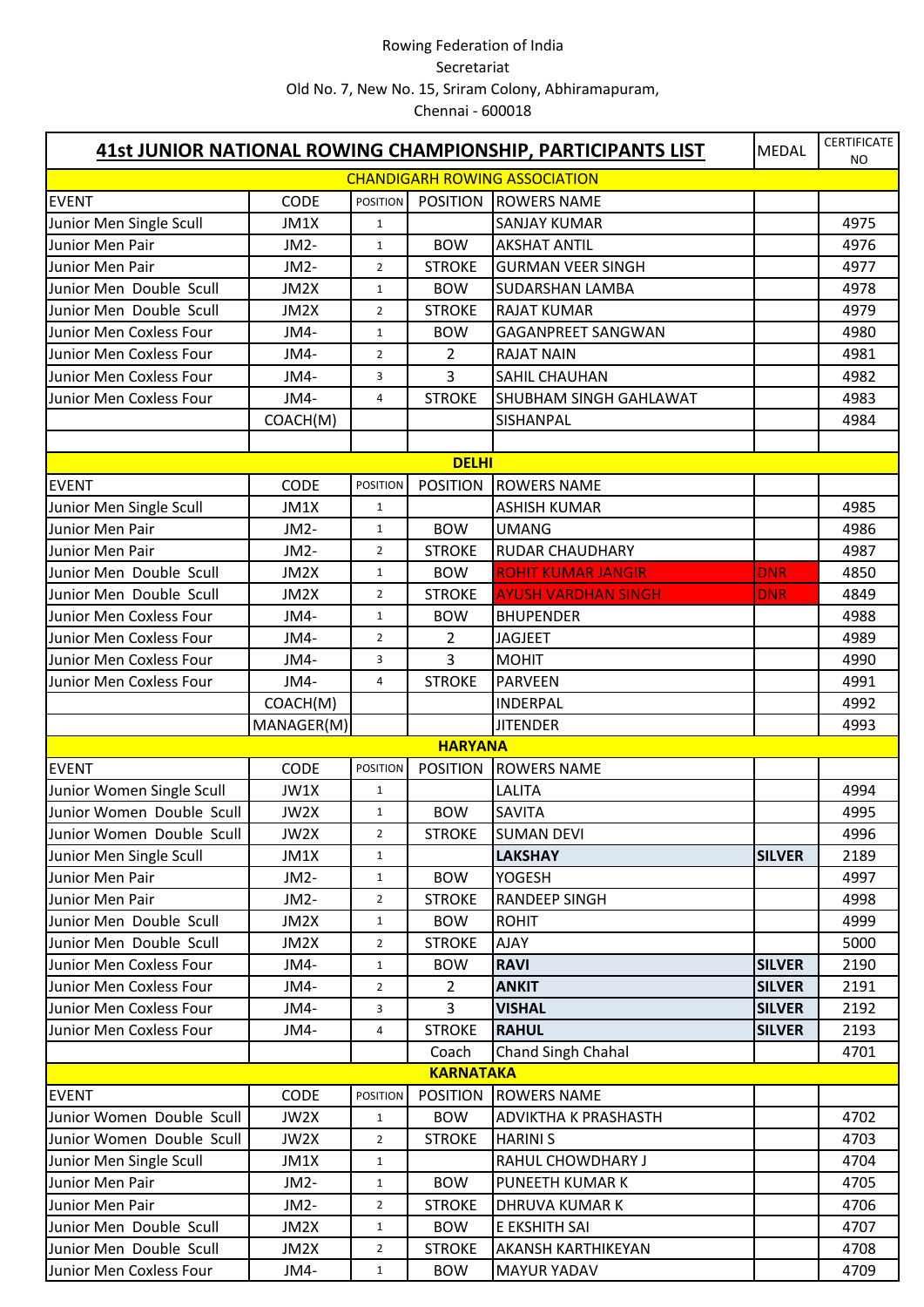|                           |                   |                 |                  | 41st JUNIOR NATIONAL ROWING CHAMPIONSHIP, PARTICIPANTS LIST | <b>MEDAL</b>  | <b>CERTIFICATE</b><br>NO |
|---------------------------|-------------------|-----------------|------------------|-------------------------------------------------------------|---------------|--------------------------|
|                           |                   |                 |                  | <b>CHANDIGARH ROWING ASSOCIATION</b>                        |               |                          |
| <b>EVENT</b>              | <b>CODE</b>       | <b>POSITION</b> |                  | POSITION ROWERS NAME                                        |               |                          |
| Junior Men Single Scull   | JM1X              | $\mathbf{1}$    |                  | <b>SANJAY KUMAR</b>                                         |               | 4975                     |
| Junior Men Pair           | JM2-              | $\mathbf{1}$    | <b>BOW</b>       | <b>AKSHAT ANTIL</b>                                         |               | 4976                     |
| Junior Men Pair           | JM2-              | $\overline{2}$  | <b>STROKE</b>    | <b>GURMAN VEER SINGH</b>                                    |               | 4977                     |
| Junior Men Double Scull   | JM2X              | $\mathbf{1}$    | <b>BOW</b>       | <b>SUDARSHAN LAMBA</b>                                      |               | 4978                     |
| Junior Men Double Scull   | JM2X              | $\overline{2}$  | <b>STROKE</b>    | <b>RAJAT KUMAR</b>                                          |               | 4979                     |
| Junior Men Coxless Four   | JM4-              | $\mathbf{1}$    | <b>BOW</b>       | <b>GAGANPREET SANGWAN</b>                                   |               | 4980                     |
| Junior Men Coxless Four   | JM4-              | $\overline{2}$  | 2                | <b>RAJAT NAIN</b>                                           |               | 4981                     |
| Junior Men Coxless Four   | JM4-              | 3               | 3                | SAHIL CHAUHAN                                               |               | 4982                     |
| Junior Men Coxless Four   | JM4-              | $\overline{4}$  | <b>STROKE</b>    | <b>SHUBHAM SINGH GAHLAWAT</b>                               |               | 4983                     |
|                           | COACH(M)          |                 |                  | SISHANPAL                                                   |               | 4984                     |
|                           |                   |                 |                  |                                                             |               |                          |
|                           |                   |                 | <b>DELHI</b>     |                                                             |               |                          |
| <b>EVENT</b>              | <b>CODE</b>       | <b>POSITION</b> | <b>POSITION</b>  | <b>ROWERS NAME</b>                                          |               |                          |
| Junior Men Single Scull   | JM1X              | $\mathbf{1}$    |                  | <b>ASHISH KUMAR</b>                                         |               | 4985                     |
| Junior Men Pair           | JM <sub>2</sub> - | $\mathbf{1}$    | <b>BOW</b>       | <b>UMANG</b>                                                |               | 4986                     |
| Junior Men Pair           | JM <sub>2</sub> - | $\overline{2}$  | <b>STROKE</b>    | <b>RUDAR CHAUDHARY</b>                                      |               | 4987                     |
| Junior Men Double Scull   | JM2X              | $\mathbf{1}$    | <b>BOW</b>       | <b>ROHIT KUMAR JANGIR</b>                                   | <b>DNR</b>    | 4850                     |
| Junior Men Double Scull   | JM2X              | $\overline{2}$  | <b>STROKE</b>    | <b>AYUSH VARDHAN SINGH</b>                                  | <b>DNR</b>    | 4849                     |
| Junior Men Coxless Four   | JM4-              | $\mathbf{1}$    | <b>BOW</b>       | <b>BHUPENDER</b>                                            |               | 4988                     |
| Junior Men Coxless Four   | JM4-              | $\overline{2}$  | 2                | <b>JAGJEET</b>                                              |               | 4989                     |
| Junior Men Coxless Four   | JM4-              | 3               | 3                | <b>MOHIT</b>                                                |               | 4990                     |
| Junior Men Coxless Four   | JM4-              | 4               | <b>STROKE</b>    | <b>PARVEEN</b>                                              |               | 4991                     |
|                           | COACH(M)          |                 |                  | <b>INDERPAL</b>                                             |               | 4992                     |
|                           | MANAGER(M)        |                 |                  | <b>JITENDER</b>                                             |               | 4993                     |
|                           |                   |                 | <b>HARYANA</b>   |                                                             |               |                          |
| <b>EVENT</b>              | CODE              | <b>POSITION</b> | <b>POSITION</b>  | <b>ROWERS NAME</b>                                          |               |                          |
| Junior Women Single Scull | JW1X              | $\mathbf{1}$    |                  | <b>LALITA</b>                                               |               | 4994                     |
| Junior Women Double Scull | JW2X              | $\mathbf{1}$    | <b>BOW</b>       | <b>SAVITA</b>                                               |               | 4995                     |
| Junior Women Double Scull | JW2X              | 2               | <b>STROKE</b>    | <b>SUMAN DEVI</b>                                           |               | 4996                     |
| Junior Men Single Scull   | JM1X              | $\mathbf{1}$    |                  | <b>LAKSHAY</b>                                              | <b>SILVER</b> | 2189                     |
| Junior Men Pair           | JM2-              | $\mathbf{1}$    | <b>BOW</b>       | <b>YOGESH</b>                                               |               | 4997                     |
| Junior Men Pair           | JM2-              | $\overline{2}$  | <b>STROKE</b>    | <b>RANDEEP SINGH</b>                                        |               | 4998                     |
| Junior Men Double Scull   | JM2X              | $\mathbf{1}$    | <b>BOW</b>       | <b>ROHIT</b>                                                |               | 4999                     |
| Junior Men Double Scull   | JM2X              | $\overline{2}$  | <b>STROKE</b>    | <b>AJAY</b>                                                 |               | 5000                     |
| Junior Men Coxless Four   | JM4-              | $\mathbf{1}$    | <b>BOW</b>       | <b>RAVI</b>                                                 | <b>SILVER</b> | 2190                     |
| Junior Men Coxless Four   | JM4-              | $\overline{2}$  | 2                | <b>ANKIT</b>                                                | <b>SILVER</b> | 2191                     |
| Junior Men Coxless Four   | JM4-              | 3               | 3                | <b>VISHAL</b>                                               | <b>SILVER</b> | 2192                     |
| Junior Men Coxless Four   | JM4-              | 4               | <b>STROKE</b>    | <b>RAHUL</b>                                                | <b>SILVER</b> | 2193                     |
|                           |                   |                 | Coach            | Chand Singh Chahal                                          |               | 4701                     |
|                           |                   |                 | <b>KARNATAKA</b> |                                                             |               |                          |
| <b>EVENT</b>              | <b>CODE</b>       | <b>POSITION</b> | <b>POSITION</b>  | <b>ROWERS NAME</b>                                          |               |                          |
| Junior Women Double Scull | JW2X              | $\mathbf{1}$    | <b>BOW</b>       | <b>ADVIKTHA K PRASHASTH</b>                                 |               | 4702                     |
| Junior Women Double Scull | JW2X              | $\overline{2}$  | <b>STROKE</b>    | <b>HARINI S</b>                                             |               | 4703                     |
| Junior Men Single Scull   | JM1X              | $\mathbf{1}$    |                  | RAHUL CHOWDHARY J                                           |               | 4704                     |
| Junior Men Pair           | JM2-              | $\mathbf{1}$    | <b>BOW</b>       | PUNEETH KUMAR K                                             |               | 4705                     |
| Junior Men Pair           | JM2-              | $\overline{2}$  | <b>STROKE</b>    | <b>DHRUVA KUMAR K</b>                                       |               | 4706                     |
| Junior Men Double Scull   | JM2X              | $\mathbf{1}$    | <b>BOW</b>       | E EKSHITH SAI                                               |               | 4707                     |
| Junior Men Double Scull   | JM2X              | $\overline{2}$  | <b>STROKE</b>    | <b>AKANSH KARTHIKEYAN</b>                                   |               | 4708                     |
| Junior Men Coxless Four   | JM4-              | $\mathbf{1}$    | <b>BOW</b>       | <b>MAYUR YADAV</b>                                          |               | 4709                     |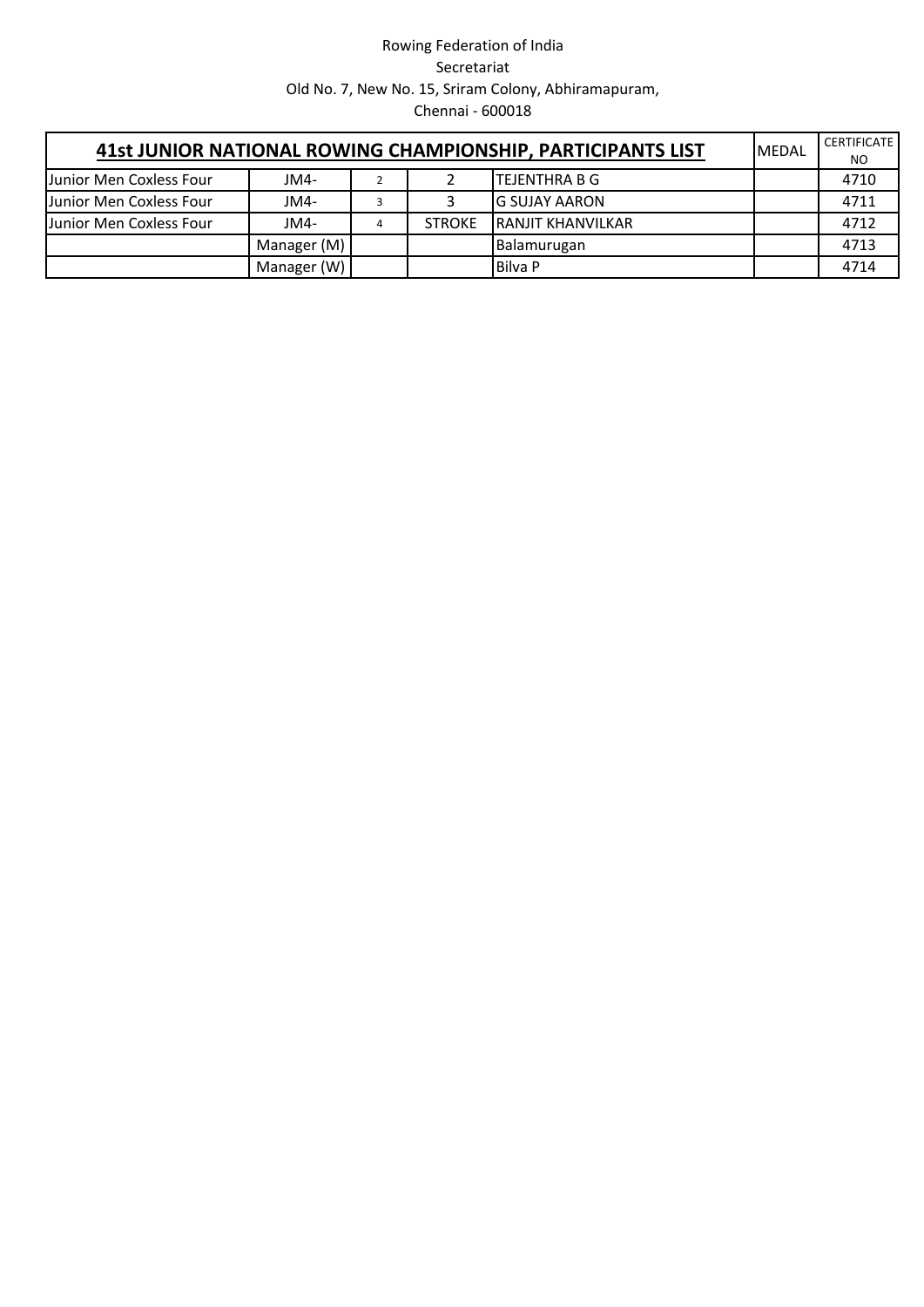| 41st JUNIOR NATIONAL ROWING CHAMPIONSHIP, PARTICIPANTS LIST<br><b>IMEDAL</b> |             |  |               |                          |  | <b>CERTIFICATE</b><br>NO. |
|------------------------------------------------------------------------------|-------------|--|---------------|--------------------------|--|---------------------------|
| Junior Men Coxless Four                                                      | JM4-        |  |               | ITEJENTHRA B G           |  | 4710                      |
| Junior Men Coxless Four                                                      | JM4-        |  |               | IG SUJAY AARON           |  | 4711                      |
| Junior Men Coxless Four                                                      | JM4-        |  | <b>STROKE</b> | <b>RANJIT KHANVILKAR</b> |  | 4712                      |
|                                                                              | Manager (M) |  |               | Balamurugan              |  | 4713                      |
|                                                                              | Manager (W) |  |               | Bilva P                  |  | 4714                      |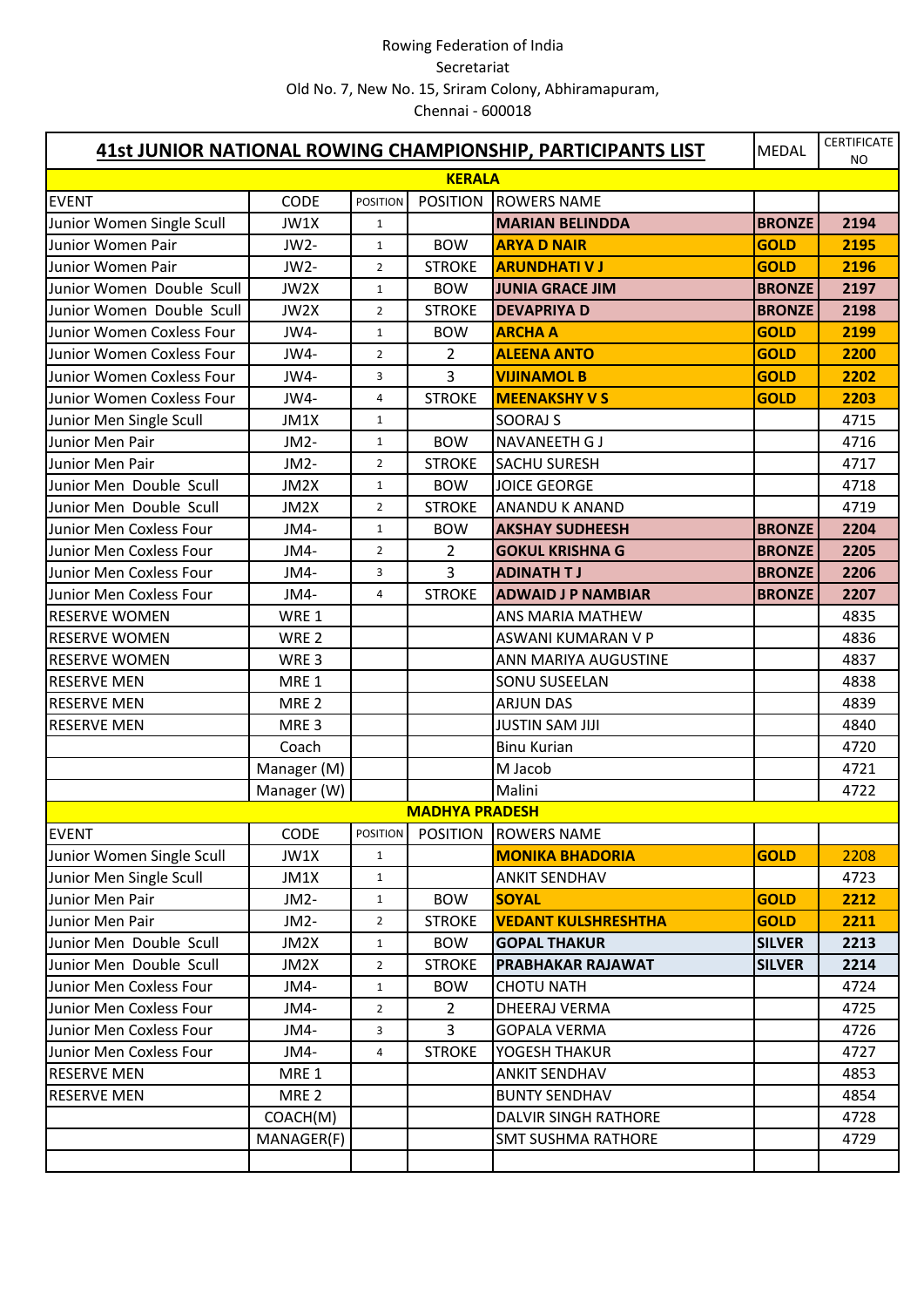| 41st JUNIOR NATIONAL ROWING CHAMPIONSHIP, PARTICIPANTS LIST |                  |                 |                       |                             | <b>MEDAL</b>  | <b>CERTIFICATE</b><br>NO |
|-------------------------------------------------------------|------------------|-----------------|-----------------------|-----------------------------|---------------|--------------------------|
|                                                             |                  |                 | <b>KERALA</b>         |                             |               |                          |
| <b>EVENT</b>                                                | CODE             | <b>POSITION</b> | <b>POSITION</b>       | <b>ROWERS NAME</b>          |               |                          |
| Junior Women Single Scull                                   | JW1X             | $\mathbf{1}$    |                       | <b>MARIAN BELINDDA</b>      | <b>BRONZE</b> | 2194                     |
| Junior Women Pair                                           | JW2-             | $\mathbf{1}$    | <b>BOW</b>            | <b>ARYA D NAIR</b>          | <b>GOLD</b>   | 2195                     |
| Junior Women Pair                                           | JW2-             | $\overline{2}$  | <b>STROKE</b>         | <b>ARUNDHATI V J</b>        | <b>GOLD</b>   | 2196                     |
| Junior Women Double Scull                                   | JW2X             | $\mathbf{1}$    | <b>BOW</b>            | <b>JUNIA GRACE JIM</b>      | <b>BRONZE</b> | 2197                     |
| Junior Women Double Scull                                   | JW2X             | $\overline{2}$  | <b>STROKE</b>         | <b>DEVAPRIYA D</b>          | <b>BRONZE</b> | 2198                     |
| Junior Women Coxless Four                                   | JW4-             | $\mathbf{1}$    | <b>BOW</b>            | <b>ARCHA A</b>              | <b>GOLD</b>   | 2199                     |
| Junior Women Coxless Four                                   | JW4-             | $\overline{2}$  | $\overline{2}$        | <b>ALEENA ANTO</b>          | <b>GOLD</b>   | 2200                     |
| Junior Women Coxless Four                                   | JW4-             | 3               | $\overline{3}$        | <b>VIJINAMOL B</b>          | <b>GOLD</b>   | 2202                     |
| Junior Women Coxless Four                                   | JW4-             | 4               | <b>STROKE</b>         | <b>MEENAKSHY V S</b>        | <b>GOLD</b>   | 2203                     |
| Junior Men Single Scull                                     | JM1X             | $\mathbf{1}$    |                       | <b>SOORAJ S</b>             |               | 4715                     |
| Junior Men Pair                                             | JM2-             | $\mathbf{1}$    | <b>BOW</b>            | <b>NAVANEETH GJ</b>         |               | 4716                     |
| Junior Men Pair                                             | JM2-             | $\overline{2}$  | <b>STROKE</b>         | <b>SACHU SURESH</b>         |               | 4717                     |
| Junior Men Double Scull                                     | JM2X             | $\mathbf{1}$    | <b>BOW</b>            | <b>JOICE GEORGE</b>         |               | 4718                     |
| Junior Men Double Scull                                     | JM2X             | $\overline{2}$  | <b>STROKE</b>         | <b>ANANDU K ANAND</b>       |               | 4719                     |
| Junior Men Coxless Four                                     | JM4-             | $\mathbf{1}$    | <b>BOW</b>            | <b>AKSHAY SUDHEESH</b>      | <b>BRONZE</b> | 2204                     |
| Junior Men Coxless Four                                     | JM4-             | $\overline{2}$  | 2                     | <b>GOKUL KRISHNA G</b>      | <b>BRONZE</b> | 2205                     |
| Junior Men Coxless Four                                     | JM4-             | 3               | 3                     | <b>ADINATH TJ</b>           | <b>BRONZE</b> | 2206                     |
| Junior Men Coxless Four                                     | JM4-             | 4               | <b>STROKE</b>         | <b>ADWAID J P NAMBIAR</b>   | <b>BRONZE</b> | 2207                     |
| <b>RESERVE WOMEN</b>                                        | WRE 1            |                 |                       | ANS MARIA MATHEW            |               | 4835                     |
| <b>RESERVE WOMEN</b>                                        | WRE <sub>2</sub> |                 |                       | ASWANI KUMARAN V P          |               | 4836                     |
| <b>RESERVE WOMEN</b>                                        | WRE <sub>3</sub> |                 |                       | ANN MARIYA AUGUSTINE        |               | 4837                     |
| <b>RESERVE MEN</b>                                          | MRE <sub>1</sub> |                 |                       | <b>SONU SUSEELAN</b>        |               | 4838                     |
| <b>RESERVE MEN</b>                                          | MRE <sub>2</sub> |                 |                       | <b>ARJUN DAS</b>            |               | 4839                     |
| <b>RESERVE MEN</b>                                          | MRE <sub>3</sub> |                 |                       | <b>JUSTIN SAM JIJI</b>      |               | 4840                     |
|                                                             | Coach            |                 |                       | <b>Binu Kurian</b>          |               | 4720                     |
|                                                             | Manager (M)      |                 |                       | M Jacob                     |               | 4721                     |
|                                                             | Manager (W)      |                 |                       | Malini                      |               | 4722                     |
|                                                             |                  |                 | <b>MADHYA PRADESH</b> |                             |               |                          |
| <b>EVENT</b>                                                | CODE             | <b>POSITION</b> |                       | POSITION ROWERS NAME        |               |                          |
| Junior Women Single Scull                                   | JW1X             | $\mathbf{1}$    |                       | <b>MONIKA BHADORIA</b>      | <b>GOLD</b>   | 2208                     |
| Junior Men Single Scull                                     | JM1X             | $\mathbf{1}$    |                       | <b>ANKIT SENDHAV</b>        |               | 4723                     |
| Junior Men Pair                                             | JM2-             | $\mathbf{1}$    | <b>BOW</b>            | <b>SOYAL</b>                | <b>GOLD</b>   | 2212                     |
| Junior Men Pair                                             |                  | $\overline{2}$  |                       | <b>VEDANT KULSHRESHTHA</b>  | <b>GOLD</b>   | 2211                     |
| Junior Men Double Scull                                     | JM2-<br>JM2X     |                 | <b>STROKE</b>         |                             | <b>SILVER</b> | 2213                     |
|                                                             |                  | $\mathbf{1}$    | <b>BOW</b>            | <b>GOPAL THAKUR</b>         |               |                          |
| Junior Men Double Scull                                     | JM2X             | $\overline{2}$  | <b>STROKE</b>         | <b>PRABHAKAR RAJAWAT</b>    | <b>SILVER</b> | 2214                     |
| Junior Men Coxless Four                                     | JM4-             | $\mathbf{1}$    | <b>BOW</b>            | <b>CHOTU NATH</b>           |               | 4724                     |
| Junior Men Coxless Four                                     | JM4-             | $\overline{2}$  | $\overline{2}$        | DHEERAJ VERMA               |               | 4725                     |
| Junior Men Coxless Four                                     | JM4-             | 3               | 3                     | <b>GOPALA VERMA</b>         |               | 4726                     |
| Junior Men Coxless Four                                     | JM4-             | 4               | <b>STROKE</b>         | YOGESH THAKUR               |               | 4727                     |
| <b>RESERVE MEN</b>                                          | MRE <sub>1</sub> |                 |                       | <b>ANKIT SENDHAV</b>        |               | 4853                     |
| <b>RESERVE MEN</b>                                          | MRE <sub>2</sub> |                 |                       | <b>BUNTY SENDHAV</b>        |               | 4854                     |
|                                                             | COACH(M)         |                 |                       | <b>DALVIR SINGH RATHORE</b> |               | 4728                     |
|                                                             | MANAGER(F)       |                 |                       | <b>SMT SUSHMA RATHORE</b>   |               | 4729                     |
|                                                             |                  |                 |                       |                             |               |                          |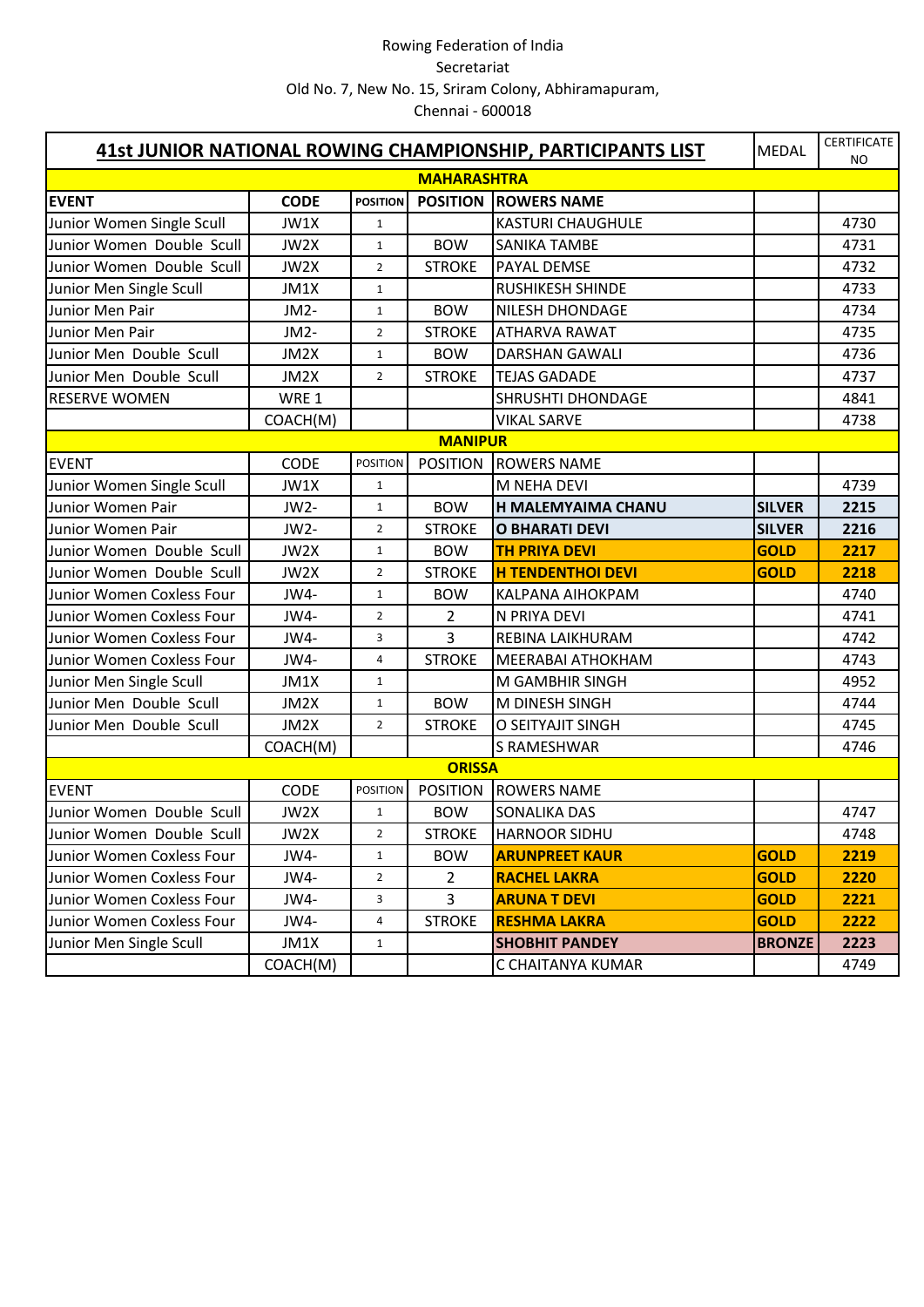|                           | 41st JUNIOR NATIONAL ROWING CHAMPIONSHIP, PARTICIPANTS LIST | <b>MEDAL</b>    | <b>CERTIFICATE</b><br><b>NO</b> |                          |               |      |
|---------------------------|-------------------------------------------------------------|-----------------|---------------------------------|--------------------------|---------------|------|
|                           |                                                             |                 | <b>MAHARASHTRA</b>              |                          |               |      |
| <b>EVENT</b>              | <b>CODE</b>                                                 | <b>POSITION</b> | <b>POSITION</b>                 | <b>ROWERS NAME</b>       |               |      |
| Junior Women Single Scull | JW1X                                                        | $\mathbf{1}$    |                                 | <b>KASTURI CHAUGHULE</b> |               | 4730 |
| Junior Women Double Scull | JW2X                                                        | $\mathbf{1}$    | <b>BOW</b>                      | <b>SANIKA TAMBE</b>      |               | 4731 |
| Junior Women Double Scull | JW2X                                                        | $\overline{2}$  | <b>STROKE</b>                   | PAYAL DEMSE              |               | 4732 |
| Junior Men Single Scull   | JM1X                                                        | $\mathbf{1}$    |                                 | <b>RUSHIKESH SHINDE</b>  |               | 4733 |
| Junior Men Pair           | JM2-                                                        | $\mathbf{1}$    | <b>BOW</b>                      | <b>NILESH DHONDAGE</b>   |               | 4734 |
| Junior Men Pair           | JM2-                                                        | $\overline{2}$  | <b>STROKE</b>                   | <b>ATHARVA RAWAT</b>     |               | 4735 |
| Junior Men Double Scull   | JM2X                                                        | $\mathbf{1}$    | <b>BOW</b>                      | <b>DARSHAN GAWALI</b>    |               | 4736 |
| Junior Men Double Scull   | JM2X                                                        | $\overline{2}$  | <b>STROKE</b>                   | <b>TEJAS GADADE</b>      |               | 4737 |
| <b>RESERVE WOMEN</b>      | WRE 1                                                       |                 |                                 | <b>SHRUSHTI DHONDAGE</b> |               | 4841 |
|                           | COACH(M)                                                    |                 |                                 | <b>VIKAL SARVE</b>       |               | 4738 |
|                           |                                                             |                 | <b>MANIPUR</b>                  |                          |               |      |
| <b>EVENT</b>              | <b>CODE</b>                                                 | <b>POSITION</b> | <b>POSITION</b>                 | <b>ROWERS NAME</b>       |               |      |
| Junior Women Single Scull | JW1X                                                        | $\mathbf{1}$    |                                 | <b>M NEHA DEVI</b>       |               | 4739 |
| Junior Women Pair         | JW2-                                                        | $\mathbf{1}$    | <b>BOW</b>                      | H MALEMYAIMA CHANU       | <b>SILVER</b> | 2215 |
| Junior Women Pair         | JW2-                                                        | $\overline{2}$  | <b>STROKE</b>                   | <b>O BHARATI DEVI</b>    | <b>SILVER</b> | 2216 |
| Junior Women Double Scull | JW2X                                                        | $\mathbf{1}$    | <b>BOW</b>                      | <b>TH PRIYA DEVI</b>     | <b>GOLD</b>   | 2217 |
| Junior Women Double Scull | JW2X                                                        | $\overline{2}$  | <b>STROKE</b>                   | <b>H TENDENTHOI DEVI</b> | <b>GOLD</b>   | 2218 |
| Junior Women Coxless Four | JW4-                                                        | $\mathbf{1}$    | <b>BOW</b>                      | <b>KALPANA AIHOKPAM</b>  |               | 4740 |
| Junior Women Coxless Four | JW4-                                                        | $\overline{2}$  | $\overline{2}$                  | N PRIYA DEVI             |               | 4741 |
| Junior Women Coxless Four | JW4-                                                        | 3               | $\overline{3}$                  | REBINA LAIKHURAM         |               | 4742 |
| Junior Women Coxless Four | JW4-                                                        | 4               | <b>STROKE</b>                   | <b>MEERABAI ATHOKHAM</b> |               | 4743 |
| Junior Men Single Scull   | JM1X                                                        | $\mathbf{1}$    |                                 | M GAMBHIR SINGH          |               | 4952 |
| Junior Men Double Scull   | JM2X                                                        | $\mathbf{1}$    | <b>BOW</b>                      | M DINESH SINGH           |               | 4744 |
| Junior Men Double Scull   | JM2X                                                        | $\overline{2}$  | <b>STROKE</b>                   | O SEITYAJIT SINGH        |               | 4745 |
|                           | COACH(M)                                                    |                 |                                 | S RAMESHWAR              |               | 4746 |
|                           |                                                             |                 | <b>ORISSA</b>                   |                          |               |      |
| <b>EVENT</b>              | CODE                                                        | <b>POSITION</b> | <b>POSITION</b>                 | <b>ROWERS NAME</b>       |               |      |
| Junior Women Double Scull | JW2X                                                        | $\mathbf{1}$    | <b>BOW</b>                      | <b>SONALIKA DAS</b>      |               | 4747 |
| Junior Women Double Scull | JW2X                                                        | $\overline{2}$  | <b>STROKE</b>                   | <b>HARNOOR SIDHU</b>     |               | 4748 |
| Junior Women Coxless Four | JW4-                                                        | $\mathbf{1}$    | <b>BOW</b>                      | <b>ARUNPREET KAUR</b>    | <b>GOLD</b>   | 2219 |
| Junior Women Coxless Four | JW4-                                                        | $\overline{2}$  | $\overline{2}$                  | <b>RACHEL LAKRA</b>      | <b>GOLD</b>   | 2220 |
| Junior Women Coxless Four | JW4-                                                        | 3               | 3                               | <b>ARUNA T DEVI</b>      | <b>GOLD</b>   | 2221 |
| Junior Women Coxless Four | JW4-                                                        | 4               | <b>STROKE</b>                   | <b>RESHMA LAKRA</b>      | <b>GOLD</b>   | 2222 |
| Junior Men Single Scull   | JM1X                                                        | $\mathbf{1}$    |                                 | <b>SHOBHIT PANDEY</b>    | <b>BRONZE</b> | 2223 |
|                           | COACH(M)                                                    |                 |                                 | C CHAITANYA KUMAR        |               | 4749 |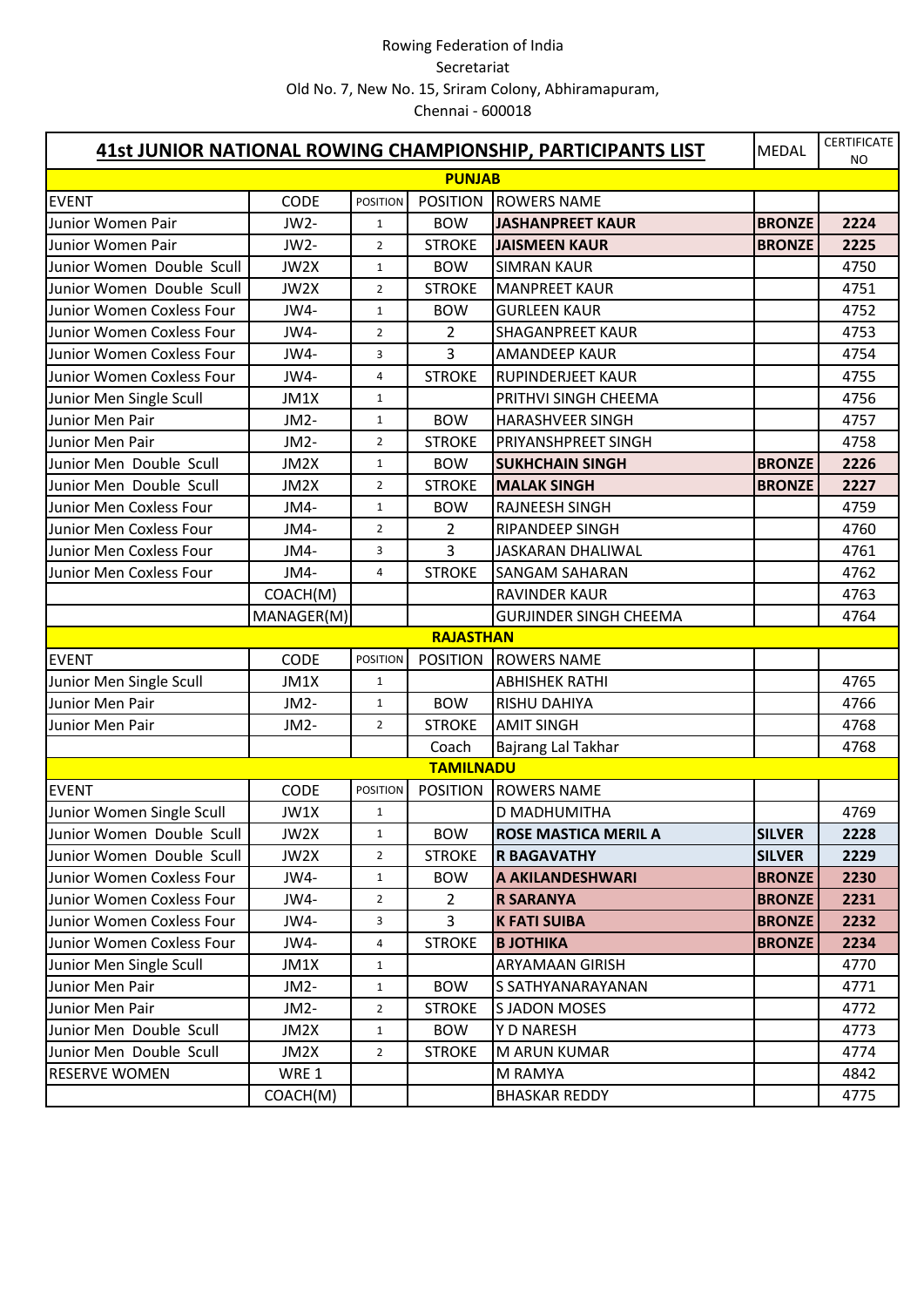| 41st JUNIOR NATIONAL ROWING CHAMPIONSHIP, PARTICIPANTS LIST |                   |                 |                  |                               |               | <b>CERTIFICATE</b><br><b>NO</b> |
|-------------------------------------------------------------|-------------------|-----------------|------------------|-------------------------------|---------------|---------------------------------|
|                                                             |                   |                 | <b>PUNJAB</b>    |                               |               |                                 |
| <b>EVENT</b>                                                | <b>CODE</b>       | <b>POSITION</b> | <b>POSITION</b>  | <b>ROWERS NAME</b>            |               |                                 |
| Junior Women Pair                                           | JW2-              | $\mathbf{1}$    | <b>BOW</b>       | <b>JASHANPREET KAUR</b>       | <b>BRONZE</b> | 2224                            |
| Junior Women Pair                                           | JW2-              | $\overline{2}$  | <b>STROKE</b>    | <b>JAISMEEN KAUR</b>          | <b>BRONZE</b> | 2225                            |
| Junior Women Double Scull                                   | JW2X              | $\mathbf{1}$    | <b>BOW</b>       | <b>SIMRAN KAUR</b>            |               | 4750                            |
| Junior Women Double Scull                                   | JW2X              | $\overline{2}$  | <b>STROKE</b>    | <b>MANPREET KAUR</b>          |               | 4751                            |
| Junior Women Coxless Four                                   | JW4-              | $\mathbf{1}$    | <b>BOW</b>       | <b>GURLEEN KAUR</b>           |               | 4752                            |
| Junior Women Coxless Four                                   | JW4-              | $\overline{2}$  | 2                | <b>SHAGANPREET KAUR</b>       |               | 4753                            |
| Junior Women Coxless Four                                   | JW4-              | 3               | 3                | <b>AMANDEEP KAUR</b>          |               | 4754                            |
| Junior Women Coxless Four                                   | JW4-              | 4               | <b>STROKE</b>    | RUPINDERJEET KAUR             |               | 4755                            |
| Junior Men Single Scull                                     | JM1X              | $\mathbf{1}$    |                  | PRITHVI SINGH CHEEMA          |               | 4756                            |
| Junior Men Pair                                             | JM <sub>2</sub> - | $\mathbf{1}$    | <b>BOW</b>       | <b>HARASHVEER SINGH</b>       |               | 4757                            |
| Junior Men Pair                                             | JM2-              | $\overline{2}$  | <b>STROKE</b>    | PRIYANSHPREET SINGH           |               | 4758                            |
| Junior Men Double Scull                                     | JM2X              | $\mathbf{1}$    | <b>BOW</b>       | <b>SUKHCHAIN SINGH</b>        | <b>BRONZE</b> | 2226                            |
| Junior Men Double Scull                                     | JM2X              | $\overline{2}$  | <b>STROKE</b>    | <b>MALAK SINGH</b>            | <b>BRONZE</b> | 2227                            |
| Junior Men Coxless Four                                     | JM4-              | $\mathbf{1}$    | <b>BOW</b>       | RAJNEESH SINGH                |               | 4759                            |
| Junior Men Coxless Four                                     | JM4-              | $\overline{2}$  | $\overline{2}$   | <b>RIPANDEEP SINGH</b>        |               | 4760                            |
| Junior Men Coxless Four                                     | JM4-              | 3               | 3                | <b>JASKARAN DHALIWAL</b>      |               | 4761                            |
| Junior Men Coxless Four                                     | JM4-              | 4               | <b>STROKE</b>    | <b>SANGAM SAHARAN</b>         |               | 4762                            |
|                                                             | COACH(M)          |                 |                  | <b>RAVINDER KAUR</b>          |               | 4763                            |
|                                                             | MANAGER(M)        |                 |                  | <b>GURJINDER SINGH CHEEMA</b> |               | 4764                            |
|                                                             |                   |                 | <b>RAJASTHAN</b> |                               |               |                                 |
| <b>EVENT</b>                                                | <b>CODE</b>       | <b>POSITION</b> | <b>POSITION</b>  | <b>ROWERS NAME</b>            |               |                                 |
| Junior Men Single Scull                                     | JM1X              | $\mathbf{1}$    |                  | <b>ABHISHEK RATHI</b>         |               | 4765                            |
| Junior Men Pair                                             | JM2-              | $\mathbf{1}$    | <b>BOW</b>       | <b>RISHU DAHIYA</b>           |               | 4766                            |
| Junior Men Pair                                             | JM2-              | $\overline{2}$  | <b>STROKE</b>    | <b>AMIT SINGH</b>             |               | 4768                            |
|                                                             |                   |                 | Coach            | Bajrang Lal Takhar            |               | 4768                            |
|                                                             |                   |                 | <b>TAMILNADU</b> |                               |               |                                 |
| <b>EVENT</b>                                                | <b>CODE</b>       | <b>POSITION</b> | <b>POSITION</b>  | <b>ROWERS NAME</b>            |               |                                 |
| Junior Women Single Scull                                   | JW1X              | $\mathbf{1}$    |                  | D MADHUMITHA                  |               | 4769                            |
| Junior Women Double Scull                                   | JW2X              | $\mathbf{1}$    | <b>BOW</b>       | <b>ROSE MASTICA MERIL A</b>   | <b>SILVER</b> | 2228                            |
| Junior Women Double Scull                                   | JW2X              | $\overline{2}$  | <b>STROKE</b>    | <b>R BAGAVATHY</b>            | <b>SILVER</b> | 2229                            |
| Junior Women Coxless Four                                   | JW4-              | $\mathbf{1}$    | <b>BOW</b>       | A AKILANDESHWARI              | <b>BRONZE</b> | 2230                            |
| Junior Women Coxless Four                                   | JW4-              | $\overline{2}$  | $\overline{2}$   | <b>R SARANYA</b>              | <b>BRONZE</b> | 2231                            |
| Junior Women Coxless Four                                   | JW4-              | 3               | 3                | <b>K FATI SUIBA</b>           | <b>BRONZE</b> | 2232                            |
| Junior Women Coxless Four                                   | JW4-              | 4               | <b>STROKE</b>    | <b>B JOTHIKA</b>              | <b>BRONZE</b> | 2234                            |
| Junior Men Single Scull                                     | JM1X              | $\mathbf{1}$    |                  | <b>ARYAMAAN GIRISH</b>        |               | 4770                            |
| Junior Men Pair                                             | JM2-              | $\mathbf{1}$    | <b>BOW</b>       | S SATHYANARAYANAN             |               | 4771                            |
| Junior Men Pair                                             | JM2-              | $\overline{2}$  | <b>STROKE</b>    | <b>SJADON MOSES</b>           |               | 4772                            |
| Junior Men Double Scull                                     | JM2X              | $\mathbf{1}$    | <b>BOW</b>       | <b>Y D NARESH</b>             |               | 4773                            |
| Junior Men Double Scull                                     | JM2X              | $\overline{2}$  | <b>STROKE</b>    | M ARUN KUMAR                  |               | 4774                            |
| <b>RESERVE WOMEN</b>                                        | WRE 1             |                 |                  | M RAMYA                       |               | 4842                            |
|                                                             | COACH(M)          |                 |                  | <b>BHASKAR REDDY</b>          |               | 4775                            |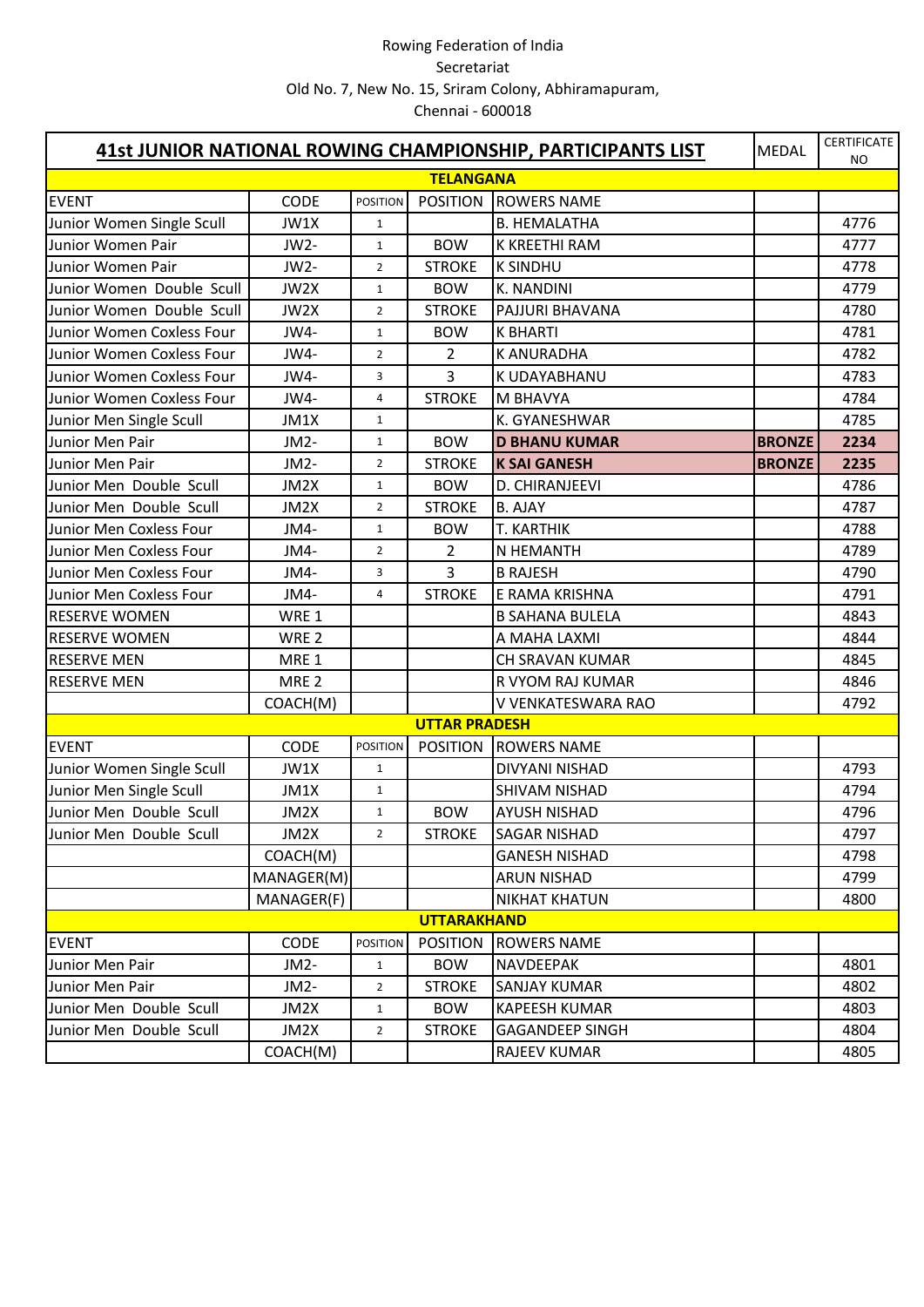| 41st JUNIOR NATIONAL ROWING CHAMPIONSHIP, PARTICIPANTS LIST<br><b>MEDAL</b> |                   |                 |                      |                        |               | <b>CERTIFICATE</b><br>NO |
|-----------------------------------------------------------------------------|-------------------|-----------------|----------------------|------------------------|---------------|--------------------------|
|                                                                             |                   |                 | <b>TELANGANA</b>     |                        |               |                          |
| <b>EVENT</b>                                                                | <b>CODE</b>       | <b>POSITION</b> | <b>POSITION</b>      | <b>ROWERS NAME</b>     |               |                          |
| Junior Women Single Scull                                                   | JW1X              | $\mathbf{1}$    |                      | <b>B. HEMALATHA</b>    |               | 4776                     |
| Junior Women Pair                                                           | JW2-              | $\mathbf{1}$    | <b>BOW</b>           | K KREETHI RAM          |               | 4777                     |
| Junior Women Pair                                                           | JW2-              | $\overline{2}$  | <b>STROKE</b>        | <b>K SINDHU</b>        |               | 4778                     |
| Junior Women Double Scull                                                   | JW2X              | $\mathbf{1}$    | <b>BOW</b>           | <b>K. NANDINI</b>      |               | 4779                     |
| Junior Women Double Scull                                                   | JW2X              | $\overline{2}$  | <b>STROKE</b>        | <b>PAJJURI BHAVANA</b> |               | 4780                     |
| Junior Women Coxless Four                                                   | JW4-              | $\mathbf{1}$    | <b>BOW</b>           | <b>K BHARTI</b>        |               | 4781                     |
| Junior Women Coxless Four                                                   | JW4-              | $\overline{2}$  | 2                    | <b>K ANURADHA</b>      |               | 4782                     |
| Junior Women Coxless Four                                                   | JW4-              | 3               | 3                    | K UDAYABHANU           |               | 4783                     |
| Junior Women Coxless Four                                                   | JW4-              | 4               | <b>STROKE</b>        | M BHAVYA               |               | 4784                     |
| Junior Men Single Scull                                                     | JM1X              | $\mathbf{1}$    |                      | K. GYANESHWAR          |               | 4785                     |
| Junior Men Pair                                                             | JM <sub>2</sub> - | $\mathbf{1}$    | <b>BOW</b>           | <b>D BHANU KUMAR</b>   | <b>BRONZE</b> | 2234                     |
| Junior Men Pair                                                             | JM <sub>2</sub> - | $\overline{2}$  | <b>STROKE</b>        | <b>K SAI GANESH</b>    | <b>BRONZE</b> | 2235                     |
| Junior Men Double Scull                                                     | JM2X              | $\mathbf{1}$    | <b>BOW</b>           | D. CHIRANJEEVI         |               | 4786                     |
| Junior Men Double Scull                                                     | JM2X              | $\overline{2}$  | <b>STROKE</b>        | <b>B. AJAY</b>         |               | 4787                     |
| Junior Men Coxless Four                                                     | JM4-              | $\mathbf{1}$    | <b>BOW</b>           | T. KARTHIK             |               | 4788                     |
| Junior Men Coxless Four                                                     | JM4-              | $\overline{2}$  | $\overline{2}$       | N HEMANTH              |               | 4789                     |
| Junior Men Coxless Four                                                     | JM4-              | 3               | 3                    | <b>B RAJESH</b>        |               | 4790                     |
| Junior Men Coxless Four                                                     | JM4-              | 4               | <b>STROKE</b>        | E RAMA KRISHNA         |               | 4791                     |
| <b>RESERVE WOMEN</b>                                                        | WRE 1             |                 |                      | <b>B SAHANA BULELA</b> |               | 4843                     |
| <b>RESERVE WOMEN</b>                                                        | WRE <sub>2</sub>  |                 |                      | A MAHA LAXMI           |               | 4844                     |
| <b>RESERVE MEN</b>                                                          | MRE <sub>1</sub>  |                 |                      | CH SRAVAN KUMAR        |               | 4845                     |
| <b>RESERVE MEN</b>                                                          | MRE <sub>2</sub>  |                 |                      | R VYOM RAJ KUMAR       |               | 4846                     |
|                                                                             | COACH(M)          |                 |                      | V VENKATESWARA RAO     |               | 4792                     |
|                                                                             |                   |                 | <b>UTTAR PRADESH</b> |                        |               |                          |
| <b>EVENT</b>                                                                | CODE              | <b>POSITION</b> | <b>POSITION</b>      | <b>ROWERS NAME</b>     |               |                          |
| Junior Women Single Scull                                                   | JW1X              | $\mathbf{1}$    |                      | <b>DIVYANI NISHAD</b>  |               | 4793                     |
| Junior Men Single Scull                                                     | JM1X              | $\mathbf{1}$    |                      | SHIVAM NISHAD          |               | 4794                     |
| Junior Men Double Scull                                                     | JM2X              | $\mathbf{1}$    | <b>BOW</b>           | <b>AYUSH NISHAD</b>    |               | 4796                     |
| Junior Men Double Scull                                                     | JM2X              | $\overline{2}$  | <b>STROKE</b>        | <b>SAGAR NISHAD</b>    |               | 4797                     |
|                                                                             | COACH(M)          |                 |                      | <b>GANESH NISHAD</b>   |               | 4798                     |
|                                                                             | MANAGER(M)        |                 |                      | <b>ARUN NISHAD</b>     |               | 4799                     |
|                                                                             | MANAGER(F)        |                 |                      | <b>NIKHAT KHATUN</b>   |               | 4800                     |
|                                                                             |                   |                 | <b>UTTARAKHAND</b>   |                        |               |                          |
| <b>EVENT</b>                                                                | <b>CODE</b>       | <b>POSITION</b> | <b>POSITION</b>      | <b>ROWERS NAME</b>     |               |                          |
| Junior Men Pair                                                             | JM2-              | $\mathbf{1}$    | <b>BOW</b>           | <b>NAVDEEPAK</b>       |               | 4801                     |
| Junior Men Pair                                                             | JM2-              | $\overline{2}$  | <b>STROKE</b>        | <b>SANJAY KUMAR</b>    |               | 4802                     |
| Junior Men Double Scull                                                     | JM2X              | $\mathbf{1}$    | <b>BOW</b>           | <b>KAPEESH KUMAR</b>   |               | 4803                     |
| Junior Men Double Scull                                                     | JM2X              | $\overline{2}$  | <b>STROKE</b>        | <b>GAGANDEEP SINGH</b> |               | 4804                     |
|                                                                             | COACH(M)          |                 |                      | <b>RAJEEV KUMAR</b>    |               | 4805                     |